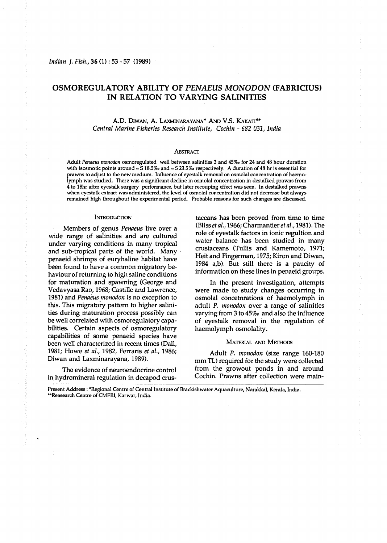# **OSMOREGULATORY ABILITY OF** *PENAEUS MONODON* **(FABRICIUS) IN RELATION TO VARYING SALINITIES**

A.D. DIWAN, A. LAXMINARAYANA\* AND V.S. KAKATI\*\* Central Marine Fisheries Research Institute, Cochin - 682 031, India

### ABSTRACT

Adult *Penaeus rnonodon* osmoregulated well between salinities *3* and *45%0* for *24* and 48 hour duration with isosmotic points around = S *18.5%* and = *S 23.520* respectively. *A* duration of *48* hr is essential for prawns to adjust to the new medium. Influence of eyestalk removal on osmolal concentration of haemolymph was studied. There was a significant decline in osmolal concentration in destalked prawns from 4 to 18hr after eyestalk surgery performance, but later recouping effect was seen. In destalked prawns when eyestalk extract was administered, the level of osmolal concentration did not decrease but always remained high throughout the experimental period. Probable reasons for such changes are **discussed.** 

#### **INTRODUCTION**

Members of genus Penaeus live over a wide range of salinities and are cultured under varying conditions in many tropical and sub-tropical parts of the world. Many penaeid shrimps of euryhaline habitat have been found to have a conunon migratory **be**haviour of returning to high saline conditions for maturation and spawning (George and Vedavyasa Rao, 1968; Castille and Lawrence, 1981) and Penaeus monodon is no exception to this. This migratory pattern to higher salinities during maturation process possibly can be well correlated with osmoregulatory capabilities. Certain aspects of osmoregulatory capabilities of some penaeid species have been well characterized in recent times (Dall, 1981; Howe et al., 1982, Ferraris et al., 1986; Diwan and Laxminarayana, 1989).

The evidence of neuroendocrine control in hydromineral regulation in decapod crustaceans has been proved from time to time (Bliss et al., 1966; Charmantier et al., 1981). The role of eyestalk factors in ionic regultion and water balance has been studied in many crustaceans (Tullis and Kamemoto, 1971; Heit and Fingerman, 1975; Kiron and Diwan, 1984 a,b). But still there is a paucity of information on these lines in penaeid groups.

In the present investigation, attempts were made to study changes occurring in osmolal concetnrations of haemolymph in adult P. monodon over a range of salinities varying from *3* to *45%0* and also the influence of eyestalk removal in the regulation of haemolymph osmolality.

## MATERIAL AND METHODS

Adult P. monodon (size range 160-180 mm TL) required for the study were collected from the growout ponds in and around Cochin. Prawns after collection were main-

Present Address : \*Regional Centre of Central Institute of Brackishwater Aquaculture, **Narakkal,** Kerala, India. \*\*Reasear& Centre of CMFRI, Karwar, India.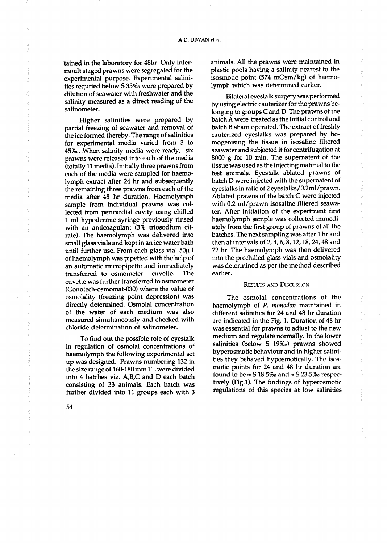tained in the laboratory for 48hr. Only intermoult staged prawns were segregated for the experimental purpose. Experimental salinities requried below S 35% were prepared by dilution of seawater with freshwater and the salinity measured as a direct reading of the salinometer.

Higher salinities were prepared by partial freezing of seawater and removal of the ice formed thereby. The range of salinities for experimental media varied from 3 to 45‰. When salinity media were ready, six prawns were released into each of the media (totally 11 media). Initially three prawns from each of the media were sampled for haemolymph extract after 24 hr and subsequently the remaining three prawns from each of the media after 48 hr duration. Haemolymph sample from individual prawns was collected from pericardial cavity using chilled 1 ml hypodermic syringe previously rinsed with an anticoagulant (3% triosodium citrate). The haemolymph was delivered into small glass vials and kept in an ice water bath until further use. From each glass vial 50µ 1 of haemolymph was pipetted with the help of an automatic micropipette and immediately transferred to osmometer cuvette. The cuvette was further transferred to osmometer (Gonotech-osmomat-030) where the value of osmolality (freezing point depression) was directly determined. Osmolal concentration of the water of each medium was also measured simultaneously and checked with chloride determination of salinometer.

To find out the possible role of eyestalk in regulation of osmolal concentrations of haemolymph the following experimental set up was designed. Prawns numbering 132 in the size range of 160-180 mm TL were divided into 4 batches viz. A,B,C and D each batch consisting of 33 animals. Each batch was further divided into 11 groups each with 3 animals. All the prawns were maintained in plastic pools having a salinity nearest to the isosmotic point (574 mOsm/kg) of haemolymph which was determined earlier.

Bilateral eyestalk surgery was performed by using electric cauterizer for the prawns belonging to groups C and D. The prawns of the batch A were treated as the initial control and batch B sham operated. The extract of freshly cauterized eyestalks was prepared by homogenising the tissue in isosaline filtered seawater and subjected it for centrifugation at 8000 g for 10 min. The supernatent of the tissue was used as the injecting material to the test animals. Eyestalk ablated prawns of batch D were injected with the supernatent of eyestalks in ratio of 2 eyestalks/0.2ml/prawn. Ablated prawns of the batch C were injected with 0.2 ml/prawn isosaline filtered seawater. After initiation of the experiment first haemolymph sample was collected immediately from the first group of prawns of all the batches. The next sampling was after 1 hr and then at intervals of 2, 4, 6, 8, 12, 18, 24, 48 and 72 hr. The haemolymph was then delivered into the prechilled glass vials and osmolality was determined as per the method described earlier.

# **RESULTS AND DISCUSSION**

The osmolal concentrations of the haemolymph of P. monodon maintained in different salinities for 24 and 48 hr duration are indicated in the Fig. 1. Duration of 48 hr was essential for prawns to adjust to the new medium and regulate normally. In the lower salinities (below S 19%o) prawns showed hyperosmotic behaviour and in higher salinities they behaved hyposmotically. The isosmotic points for 24 and 48 hr duration are found to be  $\approx$  S 18.5‰ and  $\approx$  S 23.5‰ respectively (Fig.1). The findings of hyperosmotic regulations of this species at low salinities

54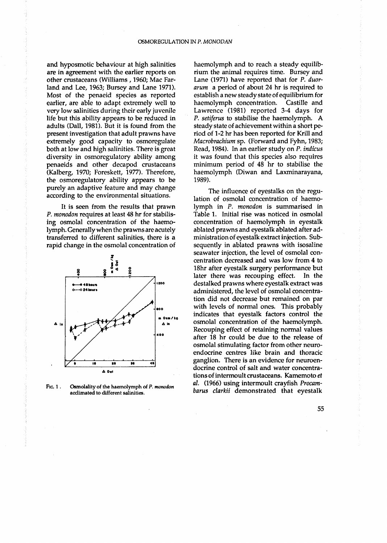and hyposmotic behaviour at high salinities are in agreement with the earlier reports on other crustaceans (Williams, 1960; Mac Farland and Lee, 1963; Bursey and Lane 1971). Most of the penaeid species as reported earlier, are able to adapt extremely well to very low salinities during their early juvenile life but this ability appears to be reduced in adults (Dall, 1981). But it is found from the present investigation that adult prawns have extremely good capacity to osmoregulate both at low and high salinities. There is great diversity in osmoregulatory ability among penaeids and other decapod crustaceans (Kalberg, 1970; Foreskett, 1977). Therefore, the osmoregulatory ability appears to be purely an adaptive feature and may change according to the environmental situations.

It is seen from the results that prawn P. monodon requires at least 48 hr for stabilising osmolal concentration of the haemolymph. Generally when the prawns are acutely transferred to different salinities, there is a rapid change in the osmolal concentration of



F<sub>iG</sub> 1. Osmolality of the haemolymph of P. monodon acclimated to different salinities.

haemolymph and to reach a steady equilibrium the animal requires time. Bursey and Lane (1971) have reported that for P. duorarum a period of about 24 hr is required to establish a new steady state of equilibrium for haemolymph concentration. Castille and Lawrence (1981) reported 3-4 days for P. setiferus to stabilise the haemolymph. A steady state of achievement within a short period of 1-2 hr has been reported for Krill and Macrobrachium sp. (Forward and Fyhn, 1983; Read, 1984). In an earlier study on P. indicus it was found that this species also requires minimum period of 48 hr to stabilise the haemolymph (Diwan and Laxminarayana, 1989).

The influence of eyestalks on the regulation of osmolal concentration of haemolymph in P. monodon is summarised in Table 1. Initial rise was noticed in osmolal concentration of haemolymph in eyestalk ablated prawns and eyestalk ablated after administration of evestalk extract injection. Subsequently in ablated prawns with isosaline seawater injection, the level of osmolal concentration decreased and was low from 4 to 18hr after eyestalk surgery performance but later there was recouping effect. In the destalked prawns where eyestalk extract was administered, the level of osmolal concentration did not decrease but remained on par with levels of normal ones. This probably indicates that eyestalk factors control the osmolal concentration of the haemolymph. Recouping effect of retaining normal values after 18 hr could be due to the release of osmolal stimulating factor from other neuroendocrine centres like brain and thoracic ganglion. There is an evidence for neuroendocrine control of salt and water concentrations of intermoult crustaceans. Kamemoto et al. (1966) using intermoult crayfish Procambarus clarkii demonstrated that eyestalk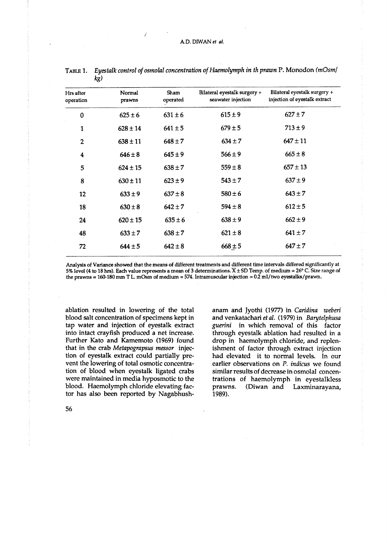| Hrs after<br>operation | Normal<br>prawns | Sham<br>operated | Bilateral eyestalk surgery +<br>seawater injection | Bilateral eyestalk surgery +<br>injection of eyestalk extract |
|------------------------|------------------|------------------|----------------------------------------------------|---------------------------------------------------------------|
| $\mathbf 0$            | $625 \pm 6$      | $631 \pm 6$      | $615 \pm 9$                                        | $627 \pm 7$                                                   |
| 1                      | $628 \pm 14$     | $641 \pm 5$      | $679 \pm 5$                                        | $713 \pm 9$                                                   |
| $\overline{2}$         | $638 \pm 11$     | $648 \pm 7$      | $634 \pm 7$                                        | $647 \pm 11$                                                  |
| 4                      | $646 \pm 8$      | $645 \pm 9$      | 566±9                                              | $665 \pm 8$                                                   |
| 5                      | $624 \pm 15$     | $638 \pm 7$      | $559 \pm 8$                                        | $657 \pm 13$                                                  |
| 8                      | $630 \pm 11$     | $623 \pm 9$      | $543 \pm 7$                                        | $637 \pm 9$                                                   |
| 12                     | $633 \pm 9$      | $637 \pm 8$      | $580 \pm 6$                                        | $643 \pm 7$                                                   |
| 18                     | $630 \pm 8$      | $642 \pm 7$      | $594 \pm 8$                                        | $612 \pm 5$                                                   |
| 24                     | $620 \pm 15$     | $635 \pm 6$      | $638 \pm 9$                                        | $662 \pm 9$                                                   |
| 48                     | $633 \pm 7$      | $638 \pm 7$      | $621 \pm 8$                                        | $641 \pm 7$                                                   |
| 72                     | $644 \pm 5$      | $642 \pm 8$      | $668 \pm 5$                                        | $647 \pm 7$                                                   |

Eyestalk control of osmolal concentration of Haemolymph in th prawn P. Monodon (mOsm/ TABLE 1.  $kg)$ 

Analysis of Variance showed that the means of different treatments and different time intervals differed significantly at 5% level (4 to 18 hrs). Each value represents a mean of 3 determinations. X ± SD Temp. of medium = 26° C. Size range of the prawns = 160-180 mm T L. mOsm of medium = 574. Intramuscular injection =  $0.2$  ml/two eyestalks/prawn.

ablation resulted in lowering of the total blood salt concentration of specimens kept in tap water and injection of eyestalk extract into intact crayfish produced a net increase. Further Kato and Kamemoto (1969) found that in the crab Metapograpsus messor injection of eyestalk extract could partially prevent the lowering of total osmotic concentration of blood when eyestalk ligated crabs were maintained in media hyposmotic to the blood. Haemolymph chloride elevating factor has also been reported by Nagabhushanam and Jyothi (1977) in Caridina weberi and venkatachari et al. (1979) in Barytelphusa guerini in which removal of this factor through eyestalk ablation had resulted in a drop in haemolymph chloride, and replenishment of factor through extract injection had elevated it to normal levels. In our earlier observations on P. indicus we found similar results of decrease in osmolal concentrations of haemolymph in eyestalkless prawns. (Diwan and Laxminarayana,  $1989.$ 

56